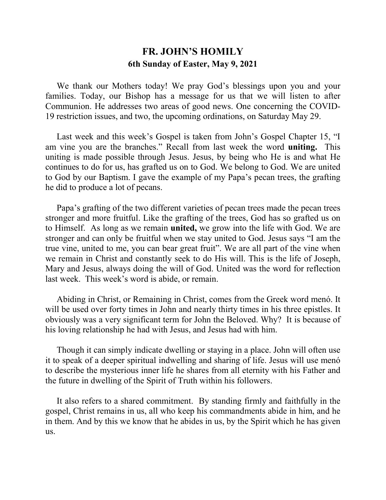## **FR. JOHN'S HOMILY 6th Sunday of Easter, May 9, 2021**

 We thank our Mothers today! We pray God's blessings upon you and your families. Today, our Bishop has a message for us that we will listen to after Communion. He addresses two areas of good news. One concerning the COVID-19 restriction issues, and two, the upcoming ordinations, on Saturday May 29.

 Last week and this week's Gospel is taken from John's Gospel Chapter 15, "I am vine you are the branches." Recall from last week the word **uniting.** This uniting is made possible through Jesus. Jesus, by being who He is and what He continues to do for us, has grafted us on to God. We belong to God. We are united to God by our Baptism. I gave the example of my Papa's pecan trees, the grafting he did to produce a lot of pecans.

 Papa's grafting of the two different varieties of pecan trees made the pecan trees stronger and more fruitful. Like the grafting of the trees, God has so grafted us on to Himself. As long as we remain **united,** we grow into the life with God. We are stronger and can only be fruitful when we stay united to God. Jesus says "I am the true vine, united to me, you can bear great fruit". We are all part of the vine when we remain in Christ and constantly seek to do His will. This is the life of Joseph, Mary and Jesus, always doing the will of God. United was the word for reflection last week. This week's word is abide, or remain.

 Abiding in Christ, or Remaining in Christ, comes from the Greek word menó. It will be used over forty times in John and nearly thirty times in his three epistles. It obviously was a very significant term for John the Beloved. Why? It is because of his loving relationship he had with Jesus, and Jesus had with him.

 Though it can simply indicate dwelling or staying in a place. John will often use it to speak of a deeper spiritual indwelling and sharing of life. Jesus will use menó to describe the mysterious inner life he shares from all eternity with his Father and the future in dwelling of the Spirit of Truth within his followers.

 It also refers to a shared commitment. By standing firmly and faithfully in the gospel, Christ remains in us, all who keep his commandments abide in him, and he in them. And by this we know that he abides in us, by the Spirit which he has given us.